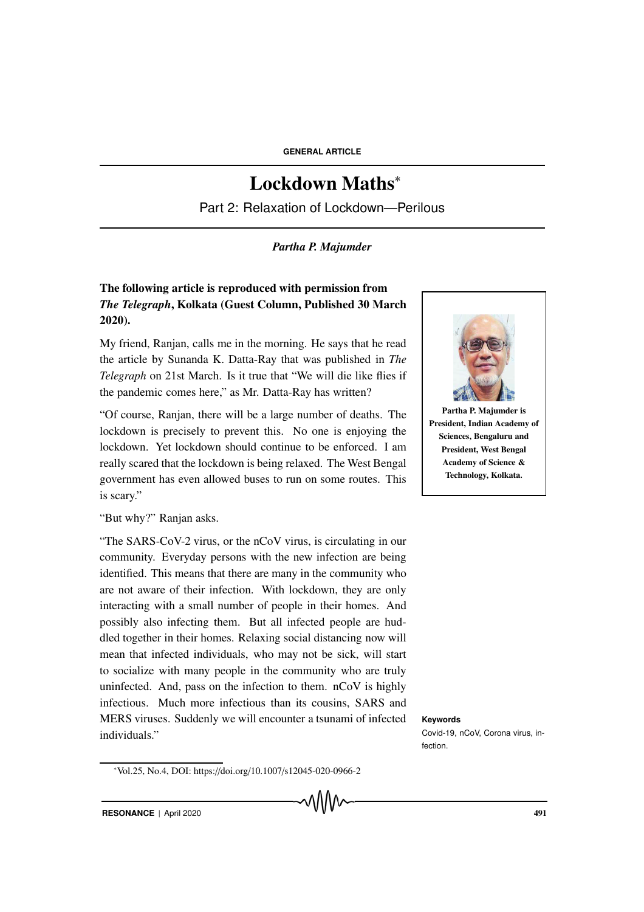## Lockdown Maths<sup>∗</sup>

Part 2: Relaxation of Lockdown—Perilous

## *Partha P. Majumder*

## The following article is reproduced with permission from *The Telegraph*, Kolkata (Guest Column, Published 30 March 2020).

My friend, Ranjan, calls me in the morning. He says that he read the article by Sunanda K. Datta-Ray that was published in *The Telegraph* on 21st March. Is it true that "We will die like flies if the pandemic comes here," as Mr. Datta-Ray has written?

"Of course, Ranjan, there will be a large number of deaths. The lockdown is precisely to prevent this. No one is enjoying the lockdown. Yet lockdown should continue to be enforced. I am really scared that the lockdown is being relaxed. The West Bengal government has even allowed buses to run on some routes. This is scary."

"But why?" Ranjan asks.

"The SARS-CoV-2 virus, or the nCoV virus, is circulating in our community. Everyday persons with the new infection are being identified. This means that there are many in the community who are not aware of their infection. With lockdown, they are only interacting with a small number of people in their homes. And possibly also infecting them. But all infected people are huddled together in their homes. Relaxing social distancing now will mean that infected individuals, who may not be sick, will start to socialize with many people in the community who are truly uninfected. And, pass on the infection to them. nCoV is highly infectious. Much more infectious than its cousins, SARS and MERS viruses. Suddenly we will encounter a tsunami of infected **Keywords** individuals."





Partha P. Majumder is President, Indian Academy of Sciences, Bengaluru and President, West Bengal Academy of Science & Technology, Kolkata.

Covid-19, nCoV, Corona virus, in-

fection.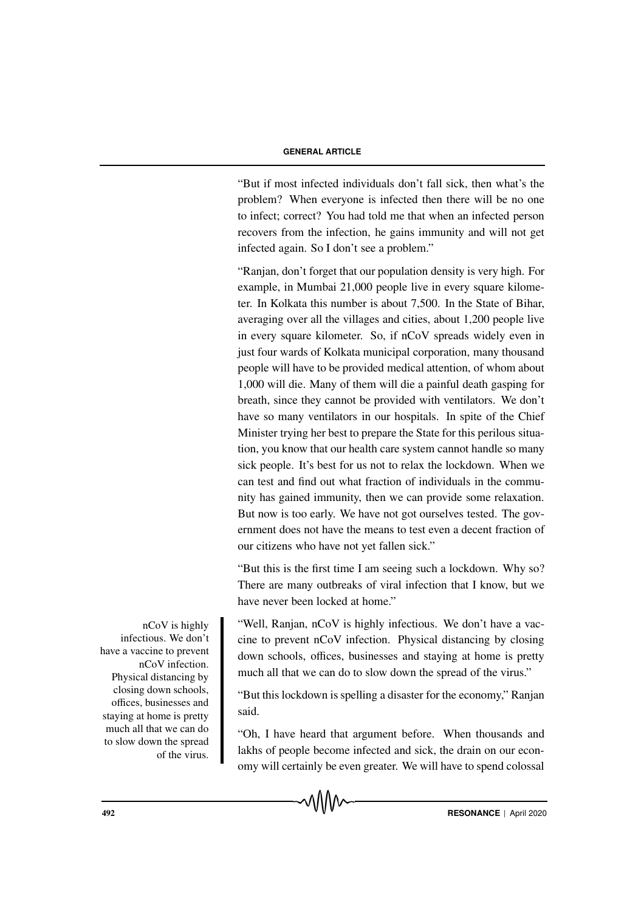## **GENERAL ARTICLE**

"But if most infected individuals don't fall sick, then what's the problem? When everyone is infected then there will be no one to infect; correct? You had told me that when an infected person recovers from the infection, he gains immunity and will not get infected again. So I don't see a problem."

"Ranjan, don't forget that our population density is very high. For example, in Mumbai 21,000 people live in every square kilometer. In Kolkata this number is about 7,500. In the State of Bihar, averaging over all the villages and cities, about 1,200 people live in every square kilometer. So, if nCoV spreads widely even in just four wards of Kolkata municipal corporation, many thousand people will have to be provided medical attention, of whom about 1,000 will die. Many of them will die a painful death gasping for breath, since they cannot be provided with ventilators. We don't have so many ventilators in our hospitals. In spite of the Chief Minister trying her best to prepare the State for this perilous situation, you know that our health care system cannot handle so many sick people. It's best for us not to relax the lockdown. When we can test and find out what fraction of individuals in the community has gained immunity, then we can provide some relaxation. But now is too early. We have not got ourselves tested. The government does not have the means to test even a decent fraction of our citizens who have not yet fallen sick."

"But this is the first time I am seeing such a lockdown. Why so? There are many outbreaks of viral infection that I know, but we have never been locked at home."

nCoV is highly "Well, Ranjan, nCoV is highly infectious. We don't have a vaccine to prevent nCoV infection. Physical distancing by closing down schools, offices, businesses and staying at home is pretty much all that we can do to slow down the spread of the virus."

> "But this lockdown is spelling a disaster for the economy," Ranjan said.

> "Oh, I have heard that argument before. When thousands and lakhs of people become infected and sick, the drain on our economy will certainly be even greater. We will have to spend colossal



infectious. We don't have a vaccine to prevent nCoV infection. Physical distancing by closing down schools, offices, businesses and staying at home is pretty much all that we can do to slow down the spread of the virus.